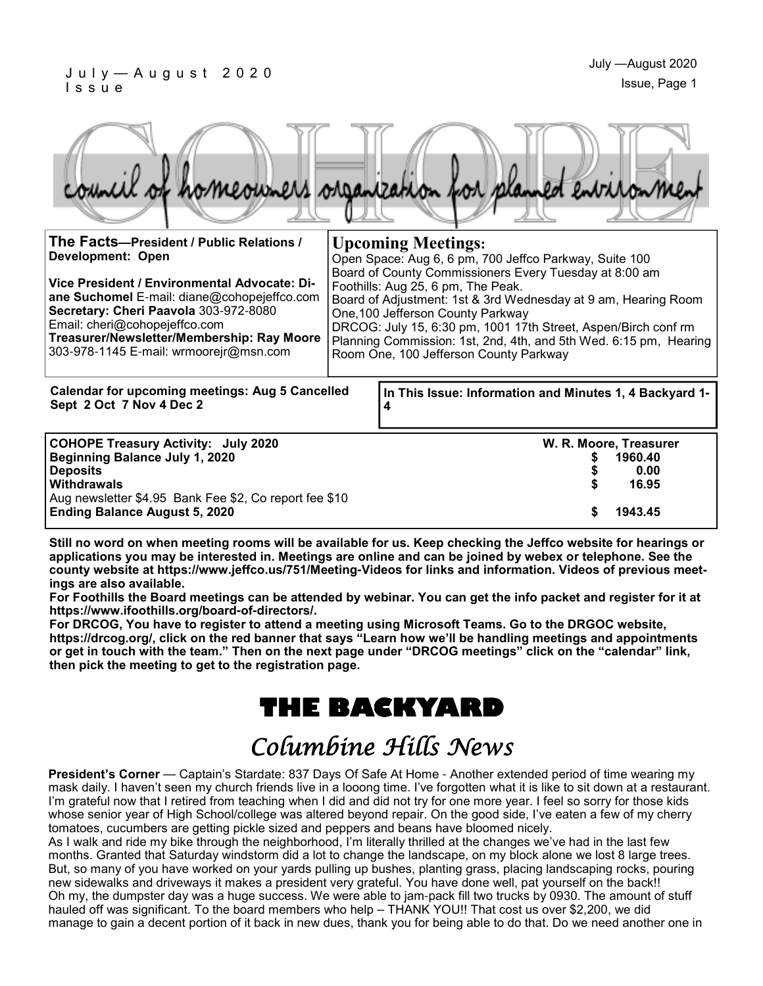#### J u l y — A u g u s t 2 0 2 0 I s s u e

**Treasurer/Newsletter/Membership: Ray Moore**  303-978-1145 E-mail: wrmoorejr@msn.com

|                                                                                                                                                                       | romeourners organization for planned entrironment                                                                                                                                                                                                                     |
|-----------------------------------------------------------------------------------------------------------------------------------------------------------------------|-----------------------------------------------------------------------------------------------------------------------------------------------------------------------------------------------------------------------------------------------------------------------|
| The Facts-President / Public Relations /<br><b>Development: Open</b>                                                                                                  | <b>Upcoming Meetings:</b><br>Open Space: Aug 6, 6 pm, 700 Jeffco Parkway, Suite 100                                                                                                                                                                                   |
| Vice President / Environmental Advocate: Di-<br>ane Suchomel E-mail: diane@cohopejeffco.com<br>Secretary: Cheri Paavola 303-972-8080<br>Email: cheri@cohopejeffco.com | Board of County Commissioners Every Tuesday at 8:00 am<br>Foothills: Aug 25, 6 pm, The Peak.<br>Board of Adjustment: 1st & 3rd Wednesday at 9 am, Hearing Room<br>One, 100 Jefferson County Parkway<br>DRCOG: July 15, 6:30 pm, 1001 17th Street, Aspen/Birch conf rm |

**In This Issue: Information and Minutes 1, 4 Backyard 1- 4 Calendar for upcoming meetings: Aug 5 Cancelled Sept 2 Oct 7 Nov 4 Dec 2** Room One, 100 Jefferson County Parkway **COHOPE Treasury Activity: July 2020 W. R. Moore, Treasurer Beginning Balance July 1, 2020 \$ 1960.40 Deposits \$ 0.00 Withdrawals \$ 16.95**  Aug newsletter \$4.95 Bank Fee \$2, Co report fee \$10 **Ending Balance August 5, 2020 \$ 1943.45**

Planning Commission: 1st, 2nd, 4th, and 5th Wed. 6:15 pm, Hearing

**Still no word on when meeting rooms will be available for us. Keep checking the Jeffco website for hearings or applications you may be interested in. Meetings are online and can be joined by webex or telephone. See the county website at https://www.jeffco.us/751/Meeting-Videos for links and information. Videos of previous meetings are also available.**

**For Foothills the Board meetings can be attended by webinar. You can get the info packet and register for it at https://www.ifoothills.org/board-of-directors/.**

**For DRCOG, You have to register to attend a meeting using Microsoft Teams. Go to the DRGOC website, https://drcog.org/, click on the red banner that says "Learn how we'll be handling meetings and appointments or get in touch with the team." Then on the next page under "DRCOG meetings" click on the "calendar" link, then pick the meeting to get to the registration page.**

## **THE BACKYARD**

## Columbine Hills News

**President's Corner** — Captain's Stardate: 837 Days Of Safe At Home - Another extended period of time wearing my mask daily. I haven't seen my church friends live in a looong time. I've forgotten what it is like to sit down at a restaurant. I'm grateful now that I retired from teaching when I did and did not try for one more year. I feel so sorry for those kids whose senior year of High School/college was altered beyond repair. On the good side, I've eaten a few of my cherry tomatoes, cucumbers are getting pickle sized and peppers and beans have bloomed nicely.

As I walk and ride my bike through the neighborhood, I'm literally thrilled at the changes we've had in the last few months. Granted that Saturday windstorm did a lot to change the landscape, on my block alone we lost 8 large trees. But, so many of you have worked on your yards pulling up bushes, planting grass, placing landscaping rocks, pouring new sidewalks and driveways it makes a president very grateful. You have done well, pat yourself on the back!! Oh my, the dumpster day was a huge success. We were able to jam-pack fill two trucks by 0930. The amount of stuff hauled off was significant. To the board members who help – THANK YOU!! That cost us over \$2,200, we did manage to gain a decent portion of it back in new dues, thank you for being able to do that. Do we need another one in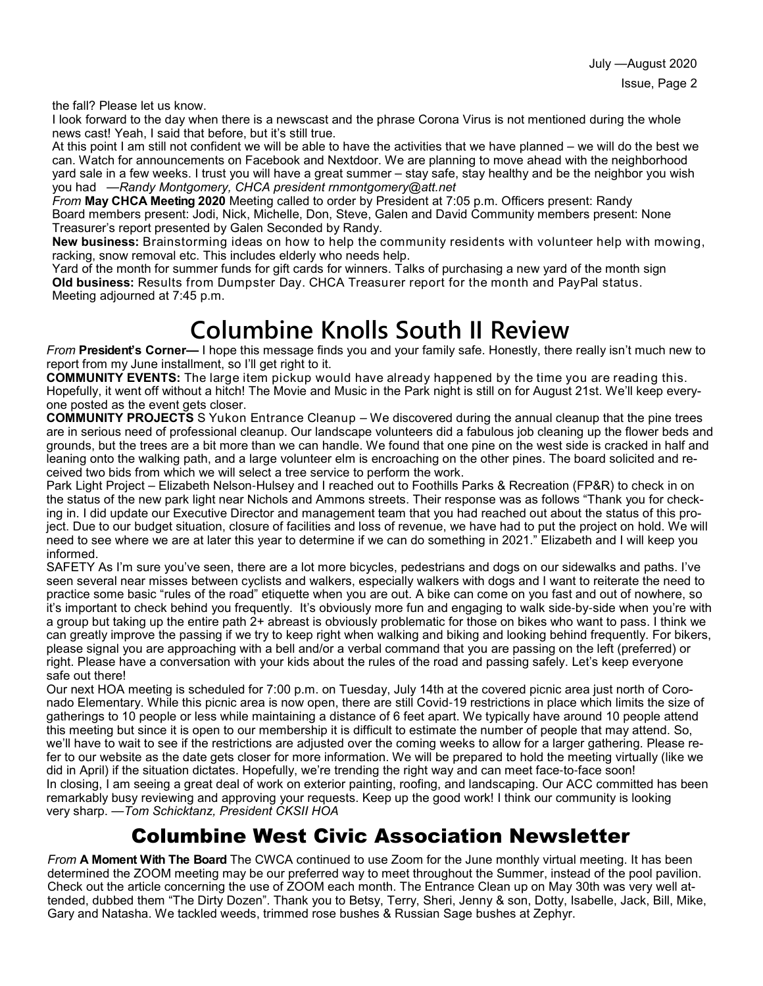the fall? Please let us know.

I look forward to the day when there is a newscast and the phrase Corona Virus is not mentioned during the whole news cast! Yeah, I said that before, but it's still true.

At this point I am still not confident we will be able to have the activities that we have planned – we will do the best we can. Watch for announcements on Facebook and Nextdoor. We are planning to move ahead with the neighborhood yard sale in a few weeks. I trust you will have a great summer – stay safe, stay healthy and be the neighbor you wish you had —*Randy Montgomery, CHCA president rnmontgomery@att.net*

*From* **May CHCA Meeting 2020** Meeting called to order by President at 7:05 p.m. Officers present: Randy Board members present: Jodi, Nick, Michelle, Don, Steve, Galen and David Community members present: None Treasurer's report presented by Galen Seconded by Randy.

**New business:** Brainstorming ideas on how to help the community residents with volunteer help with mowing, racking, snow removal etc. This includes elderly who needs help.

Yard of the month for summer funds for gift cards for winners. Talks of purchasing a new yard of the month sign **Old business:** Results from Dumpster Day. CHCA Treasurer report for the month and PayPal status. Meeting adjourned at 7:45 p.m.

# **Columbine Knolls South II Review**

*From* **President's Corner—** I hope this message finds you and your family safe. Honestly, there really isn't much new to report from my June installment, so I'll get right to it.

**COMMUNITY EVENTS:** The large item pickup would have already happened by the time you are reading this. Hopefully, it went off without a hitch! The Movie and Music in the Park night is still on for August 21st. We'll keep everyone posted as the event gets closer.

**COMMUNITY PROJECTS** S Yukon Entrance Cleanup – We discovered during the annual cleanup that the pine trees are in serious need of professional cleanup. Our landscape volunteers did a fabulous job cleaning up the flower beds and grounds, but the trees are a bit more than we can handle. We found that one pine on the west side is cracked in half and leaning onto the walking path, and a large volunteer elm is encroaching on the other pines. The board solicited and received two bids from which we will select a tree service to perform the work.

Park Light Project – Elizabeth Nelson-Hulsey and I reached out to Foothills Parks & Recreation (FP&R) to check in on the status of the new park light near Nichols and Ammons streets. Their response was as follows "Thank you for checking in. I did update our Executive Director and management team that you had reached out about the status of this project. Due to our budget situation, closure of facilities and loss of revenue, we have had to put the project on hold. We will need to see where we are at later this year to determine if we can do something in 2021." Elizabeth and I will keep you informed.

SAFETY As I'm sure you've seen, there are a lot more bicycles, pedestrians and dogs on our sidewalks and paths. I've seen several near misses between cyclists and walkers, especially walkers with dogs and I want to reiterate the need to practice some basic "rules of the road" etiquette when you are out. A bike can come on you fast and out of nowhere, so it's important to check behind you frequently. It's obviously more fun and engaging to walk side-by-side when you're with a group but taking up the entire path 2+ abreast is obviously problematic for those on bikes who want to pass. I think we can greatly improve the passing if we try to keep right when walking and biking and looking behind frequently. For bikers, please signal you are approaching with a bell and/or a verbal command that you are passing on the left (preferred) or right. Please have a conversation with your kids about the rules of the road and passing safely. Let's keep everyone safe out there!

Our next HOA meeting is scheduled for 7:00 p.m. on Tuesday, July 14th at the covered picnic area just north of Coronado Elementary. While this picnic area is now open, there are still Covid-19 restrictions in place which limits the size of gatherings to 10 people or less while maintaining a distance of 6 feet apart. We typically have around 10 people attend this meeting but since it is open to our membership it is difficult to estimate the number of people that may attend. So, we'll have to wait to see if the restrictions are adjusted over the coming weeks to allow for a larger gathering. Please refer to our website as the date gets closer for more information. We will be prepared to hold the meeting virtually (like we did in April) if the situation dictates. Hopefully, we're trending the right way and can meet face-to-face soon! In closing, I am seeing a great deal of work on exterior painting, roofing, and landscaping. Our ACC committed has been remarkably busy reviewing and approving your requests. Keep up the good work! I think our community is looking very sharp. —*Tom Schicktanz, President CKSII HOA*

### Columbine West Civic Association Newsletter

*From* **A Moment With The Board** The CWCA continued to use Zoom for the June monthly virtual meeting. It has been determined the ZOOM meeting may be our preferred way to meet throughout the Summer, instead of the pool pavilion. Check out the article concerning the use of ZOOM each month. The Entrance Clean up on May 30th was very well attended, dubbed them "The Dirty Dozen". Thank you to Betsy, Terry, Sheri, Jenny & son, Dotty, Isabelle, Jack, Bill, Mike, Gary and Natasha. We tackled weeds, trimmed rose bushes & Russian Sage bushes at Zephyr.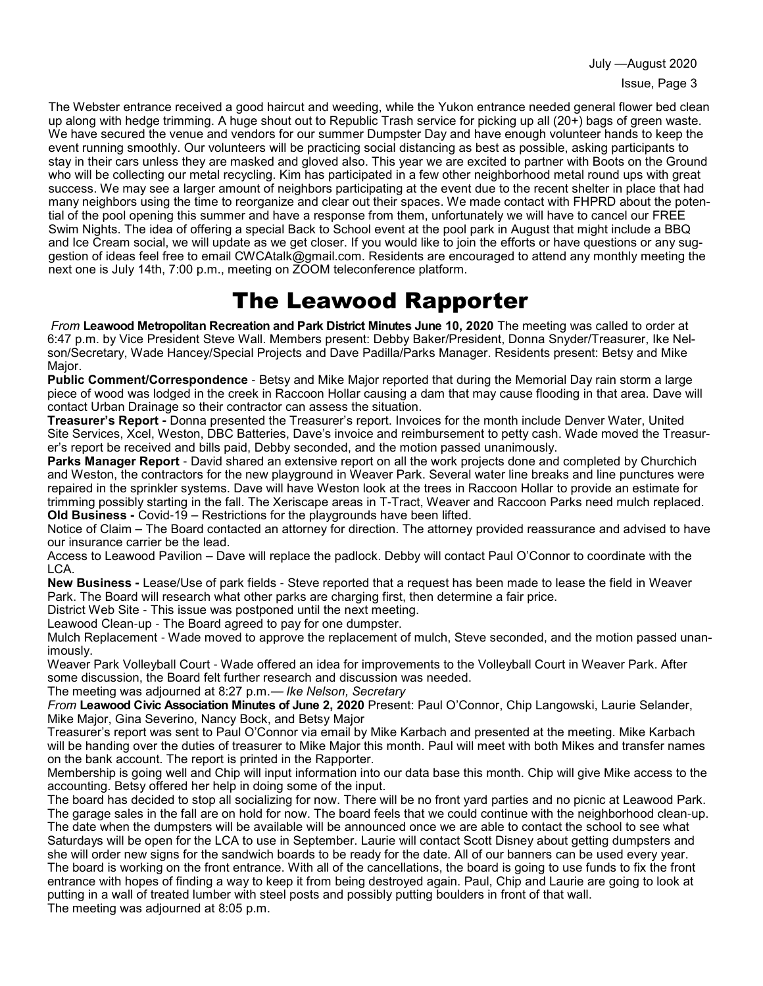July —August 2020

The Webster entrance received a good haircut and weeding, while the Yukon entrance needed general flower bed clean up along with hedge trimming. A huge shout out to Republic Trash service for picking up all (20+) bags of green waste. We have secured the venue and vendors for our summer Dumpster Day and have enough volunteer hands to keep the event running smoothly. Our volunteers will be practicing social distancing as best as possible, asking participants to stay in their cars unless they are masked and gloved also. This year we are excited to partner with Boots on the Ground who will be collecting our metal recycling. Kim has participated in a few other neighborhood metal round ups with great success. We may see a larger amount of neighbors participating at the event due to the recent shelter in place that had many neighbors using the time to reorganize and clear out their spaces. We made contact with FHPRD about the potential of the pool opening this summer and have a response from them, unfortunately we will have to cancel our FREE Swim Nights. The idea of offering a special Back to School event at the pool park in August that might include a BBQ and Ice Cream social, we will update as we get closer. If you would like to join the efforts or have questions or any suggestion of ideas feel free to email CWCAtalk@gmail.com. Residents are encouraged to attend any monthly meeting the next one is July 14th, 7:00 p.m., meeting on ZOOM teleconference platform.

## The Leawood Rapporter

*From* **Leawood Metropolitan Recreation and Park District Minutes June 10, 2020** The meeting was called to order at 6:47 p.m. by Vice President Steve Wall. Members present: Debby Baker/President, Donna Snyder/Treasurer, Ike Nelson/Secretary, Wade Hancey/Special Projects and Dave Padilla/Parks Manager. Residents present: Betsy and Mike Major.

**Public Comment/Correspondence** - Betsy and Mike Major reported that during the Memorial Day rain storm a large piece of wood was lodged in the creek in Raccoon Hollar causing a dam that may cause flooding in that area. Dave will contact Urban Drainage so their contractor can assess the situation.

**Treasurer's Report -** Donna presented the Treasurer's report. Invoices for the month include Denver Water, United Site Services, Xcel, Weston, DBC Batteries, Dave's invoice and reimbursement to petty cash. Wade moved the Treasurer's report be received and bills paid, Debby seconded, and the motion passed unanimously.

**Parks Manager Report** - David shared an extensive report on all the work projects done and completed by Churchich and Weston, the contractors for the new playground in Weaver Park. Several water line breaks and line punctures were repaired in the sprinkler systems. Dave will have Weston look at the trees in Raccoon Hollar to provide an estimate for trimming possibly starting in the fall. The Xeriscape areas in T-Tract, Weaver and Raccoon Parks need mulch replaced. **Old Business -** Covid-19 – Restrictions for the playgrounds have been lifted.

Notice of Claim – The Board contacted an attorney for direction. The attorney provided reassurance and advised to have our insurance carrier be the lead.

Access to Leawood Pavilion – Dave will replace the padlock. Debby will contact Paul O'Connor to coordinate with the LCA.

**New Business -** Lease/Use of park fields - Steve reported that a request has been made to lease the field in Weaver Park. The Board will research what other parks are charging first, then determine a fair price.

District Web Site - This issue was postponed until the next meeting.

Leawood Clean-up - The Board agreed to pay for one dumpster.

Mulch Replacement - Wade moved to approve the replacement of mulch, Steve seconded, and the motion passed unanimously.

Weaver Park Volleyball Court - Wade offered an idea for improvements to the Volleyball Court in Weaver Park. After some discussion, the Board felt further research and discussion was needed.

The meeting was adjourned at 8:27 p.m.— *Ike Nelson, Secretary* 

*From* **Leawood Civic Association Minutes of June 2, 2020** Present: Paul O'Connor, Chip Langowski, Laurie Selander, Mike Major, Gina Severino, Nancy Bock, and Betsy Major

Treasurer's report was sent to Paul O'Connor via email by Mike Karbach and presented at the meeting. Mike Karbach will be handing over the duties of treasurer to Mike Major this month. Paul will meet with both Mikes and transfer names on the bank account. The report is printed in the Rapporter.

Membership is going well and Chip will input information into our data base this month. Chip will give Mike access to the accounting. Betsy offered her help in doing some of the input.

The board has decided to stop all socializing for now. There will be no front yard parties and no picnic at Leawood Park. The garage sales in the fall are on hold for now. The board feels that we could continue with the neighborhood clean-up. The date when the dumpsters will be available will be announced once we are able to contact the school to see what Saturdays will be open for the LCA to use in September. Laurie will contact Scott Disney about getting dumpsters and she will order new signs for the sandwich boards to be ready for the date. All of our banners can be used every year. The board is working on the front entrance. With all of the cancellations, the board is going to use funds to fix the front entrance with hopes of finding a way to keep it from being destroyed again. Paul, Chip and Laurie are going to look at putting in a wall of treated lumber with steel posts and possibly putting boulders in front of that wall. The meeting was adjourned at 8:05 p.m.